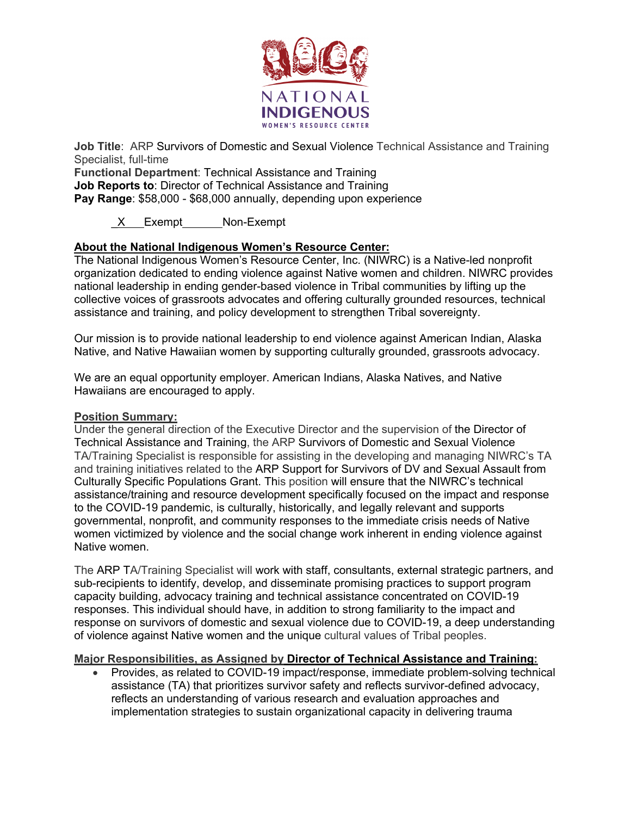

**Job Title**: ARP Survivors of Domestic and Sexual Violence Technical Assistance and Training Specialist, full-time

**Functional Department**: Technical Assistance and Training **Job Reports to**: Director of Technical Assistance and Training **Pay Range**: \$58,000 - \$68,000 annually, depending upon experience

X Exempt Non-Exempt

# **About the National Indigenous Women's Resource Center:**

The National Indigenous Women's Resource Center, Inc. (NIWRC) is a Native-led nonprofit organization dedicated to ending violence against Native women and children. NIWRC provides national leadership in ending gender-based violence in Tribal communities by lifting up the collective voices of grassroots advocates and offering culturally grounded resources, technical assistance and training, and policy development to strengthen Tribal sovereignty.

Our mission is to provide national leadership to end violence against American Indian, Alaska Native, and Native Hawaiian women by supporting culturally grounded, grassroots advocacy.

We are an equal opportunity employer. American Indians, Alaska Natives, and Native Hawaiians are encouraged to apply.

### **Position Summary:**

Under the general direction of the Executive Director and the supervision of the Director of Technical Assistance and Training, the ARP Survivors of Domestic and Sexual Violence TA/Training Specialist is responsible for assisting in the developing and managing NIWRC's TA and training initiatives related to the ARP Support for Survivors of DV and Sexual Assault from Culturally Specific Populations Grant. This position will ensure that the NIWRC's technical assistance/training and resource development specifically focused on the impact and response to the COVID-19 pandemic, is culturally, historically, and legally relevant and supports governmental, nonprofit, and community responses to the immediate crisis needs of Native women victimized by violence and the social change work inherent in ending violence against Native women.

The ARP TA/Training Specialist will work with staff, consultants, external strategic partners, and sub-recipients to identify, develop, and disseminate promising practices to support program capacity building, advocacy training and technical assistance concentrated on COVID-19 responses. This individual should have, in addition to strong familiarity to the impact and response on survivors of domestic and sexual violence due to COVID-19, a deep understanding of violence against Native women and the unique cultural values of Tribal peoples.

### **Major Responsibilities, as Assigned by Director of Technical Assistance and Training:**

• Provides, as related to COVID-19 impact/response, immediate problem-solving technical assistance (TA) that prioritizes survivor safety and reflects survivor-defined advocacy, reflects an understanding of various research and evaluation approaches and implementation strategies to sustain organizational capacity in delivering trauma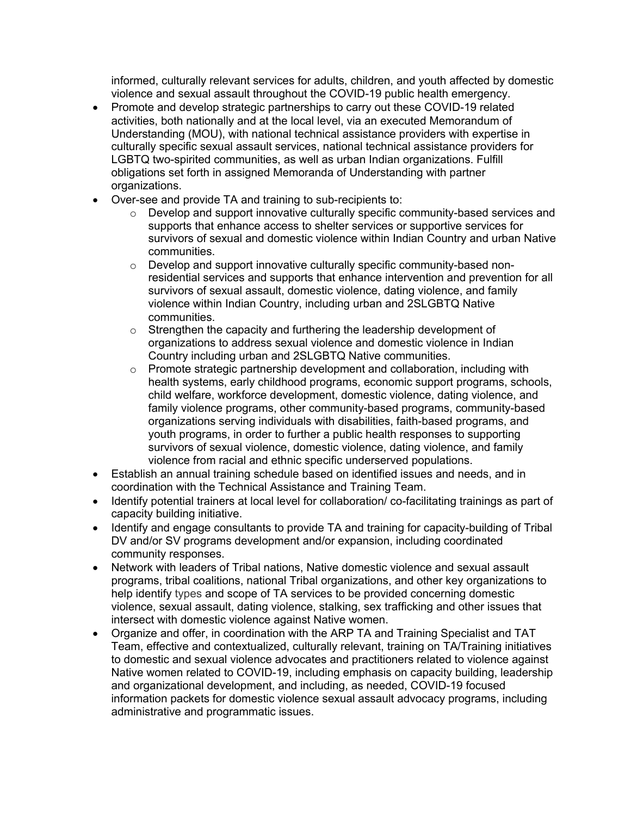informed, culturally relevant services for adults, children, and youth affected by domestic violence and sexual assault throughout the COVID-19 public health emergency.

- Promote and develop strategic partnerships to carry out these COVID-19 related activities, both nationally and at the local level, via an executed Memorandum of Understanding (MOU), with national technical assistance providers with expertise in culturally specific sexual assault services, national technical assistance providers for LGBTQ two-spirited communities, as well as urban Indian organizations. Fulfill obligations set forth in assigned Memoranda of Understanding with partner organizations.
- Over-see and provide TA and training to sub-recipients to:
	- $\circ$  Develop and support innovative culturally specific community-based services and supports that enhance access to shelter services or supportive services for survivors of sexual and domestic violence within Indian Country and urban Native communities.
	- o Develop and support innovative culturally specific community-based nonresidential services and supports that enhance intervention and prevention for all survivors of sexual assault, domestic violence, dating violence, and family violence within Indian Country, including urban and 2SLGBTQ Native communities.
	- o Strengthen the capacity and furthering the leadership development of organizations to address sexual violence and domestic violence in Indian Country including urban and 2SLGBTQ Native communities.
	- o Promote strategic partnership development and collaboration, including with health systems, early childhood programs, economic support programs, schools, child welfare, workforce development, domestic violence, dating violence, and family violence programs, other community-based programs, community-based organizations serving individuals with disabilities, faith-based programs, and youth programs, in order to further a public health responses to supporting survivors of sexual violence, domestic violence, dating violence, and family violence from racial and ethnic specific underserved populations.
- Establish an annual training schedule based on identified issues and needs, and in coordination with the Technical Assistance and Training Team.
- Identify potential trainers at local level for collaboration/ co-facilitating trainings as part of capacity building initiative.
- Identify and engage consultants to provide TA and training for capacity-building of Tribal DV and/or SV programs development and/or expansion, including coordinated community responses.
- Network with leaders of Tribal nations, Native domestic violence and sexual assault programs, tribal coalitions, national Tribal organizations, and other key organizations to help identify types and scope of TA services to be provided concerning domestic violence, sexual assault, dating violence, stalking, sex trafficking and other issues that intersect with domestic violence against Native women.
- Organize and offer, in coordination with the ARP TA and Training Specialist and TAT Team, effective and contextualized, culturally relevant, training on TA/Training initiatives to domestic and sexual violence advocates and practitioners related to violence against Native women related to COVID-19, including emphasis on capacity building, leadership and organizational development, and including, as needed, COVID-19 focused information packets for domestic violence sexual assault advocacy programs, including administrative and programmatic issues.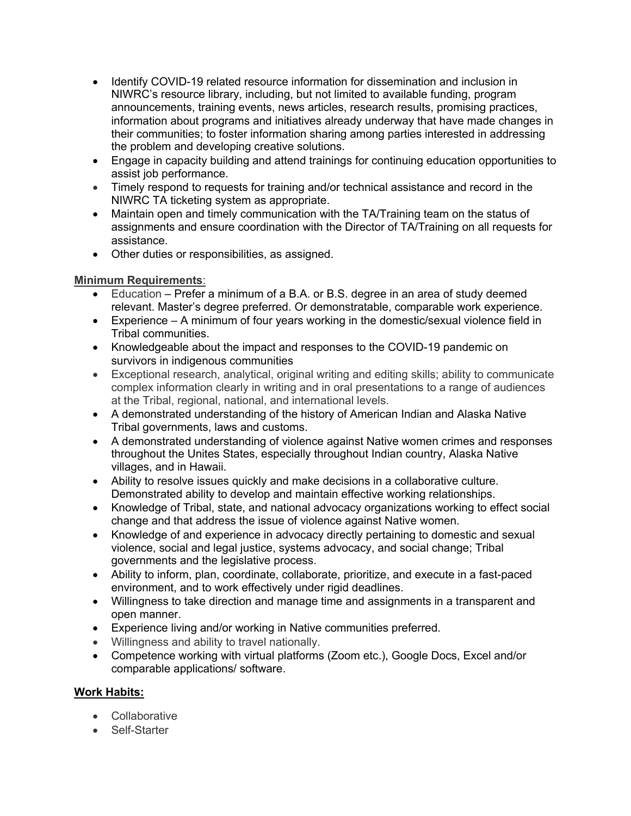- Identify COVID-19 related resource information for dissemination and inclusion in NIWRC's resource library, including, but not limited to available funding, program announcements, training events, news articles, research results, promising practices, information about programs and initiatives already underway that have made changes in their communities; to foster information sharing among parties interested in addressing the problem and developing creative solutions.
- Engage in capacity building and attend trainings for continuing education opportunities to assist job performance.
- Timely respond to requests for training and/or technical assistance and record in the NIWRC TA ticketing system as appropriate.
- Maintain open and timely communication with the TA/Training team on the status of assignments and ensure coordination with the Director of TA/Training on all requests for assistance.
- Other duties or responsibilities, as assigned.

# **Minimum Requirements**:

- Education Prefer a minimum of a B.A. or B.S. degree in an area of study deemed relevant. Master's degree preferred. Or demonstratable, comparable work experience.
- Experience A minimum of four years working in the domestic/sexual violence field in Tribal communities.
- Knowledgeable about the impact and responses to the COVID-19 pandemic on survivors in indigenous communities
- Exceptional research, analytical, original writing and editing skills; ability to communicate complex information clearly in writing and in oral presentations to a range of audiences at the Tribal, regional, national, and international levels.
- A demonstrated understanding of the history of American Indian and Alaska Native Tribal governments, laws and customs.
- A demonstrated understanding of violence against Native women crimes and responses throughout the Unites States, especially throughout Indian country, Alaska Native villages, and in Hawaii.
- Ability to resolve issues quickly and make decisions in a collaborative culture. Demonstrated ability to develop and maintain effective working relationships.
- Knowledge of Tribal, state, and national advocacy organizations working to effect social change and that address the issue of violence against Native women.
- Knowledge of and experience in advocacy directly pertaining to domestic and sexual violence, social and legal justice, systems advocacy, and social change; Tribal governments and the legislative process.
- Ability to inform, plan, coordinate, collaborate, prioritize, and execute in a fast-paced environment, and to work effectively under rigid deadlines.
- Willingness to take direction and manage time and assignments in a transparent and open manner.
- Experience living and/or working in Native communities preferred.
- Willingness and ability to travel nationally.
- Competence working with virtual platforms (Zoom etc.), Google Docs, Excel and/or comparable applications/ software.

# **Work Habits:**

- Collaborative
- Self-Starter